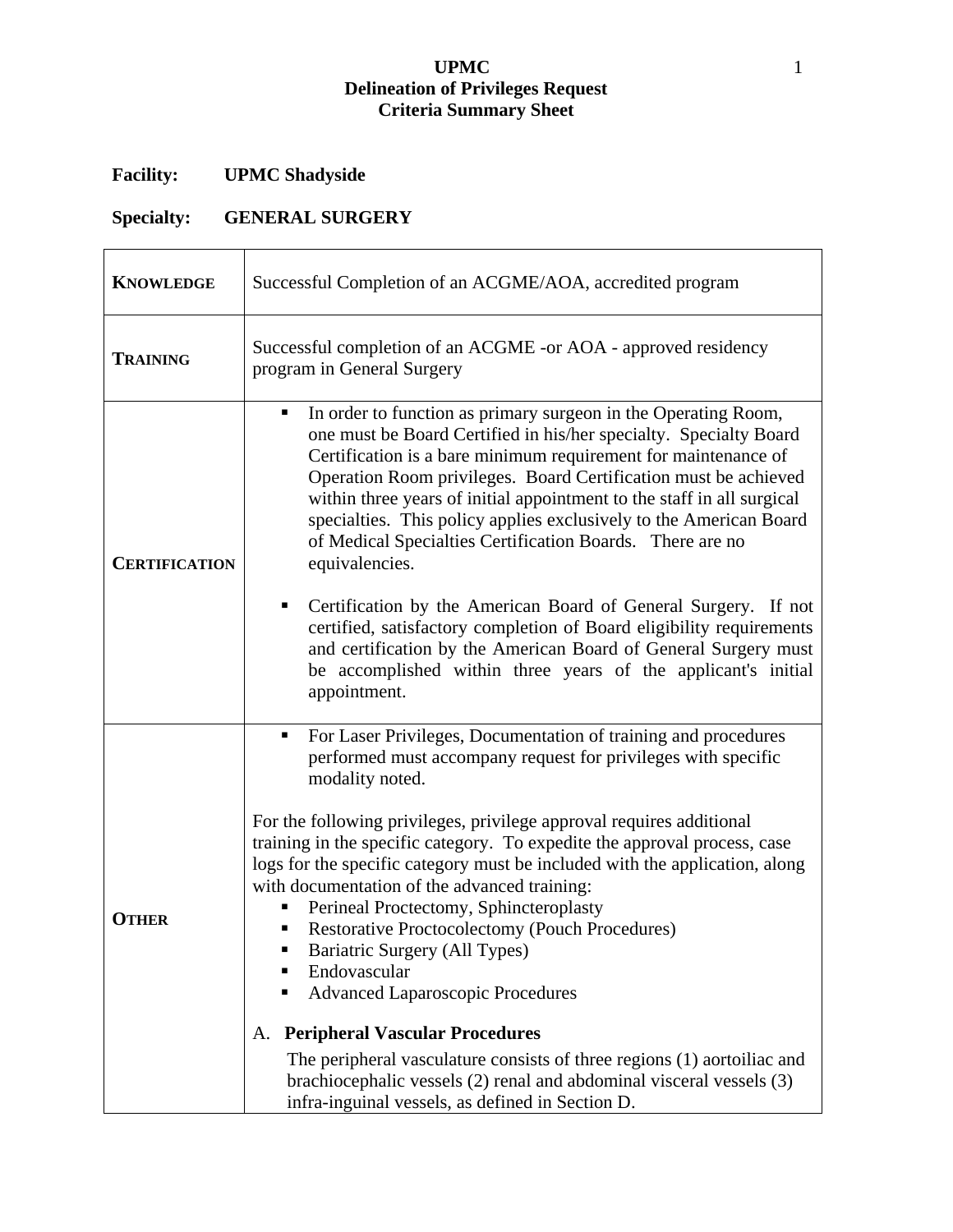# **UPMC** 1 **Delineation of Privileges Request Criteria Summary Sheet**

# **Facility: UPMC Shadyside**

# **Specialty: GENERAL SURGERY**

| <b>KNOWLEDGE</b>     | Successful Completion of an ACGME/AOA, accredited program                                                                                                                                                                                                                                                                                                                                                                                                                                                                                                                      |
|----------------------|--------------------------------------------------------------------------------------------------------------------------------------------------------------------------------------------------------------------------------------------------------------------------------------------------------------------------------------------------------------------------------------------------------------------------------------------------------------------------------------------------------------------------------------------------------------------------------|
| <b>TRAINING</b>      | Successful completion of an ACGME -or AOA - approved residency<br>program in General Surgery                                                                                                                                                                                                                                                                                                                                                                                                                                                                                   |
| <b>CERTIFICATION</b> | In order to function as primary surgeon in the Operating Room,<br>٠<br>one must be Board Certified in his/her specialty. Specialty Board<br>Certification is a bare minimum requirement for maintenance of<br>Operation Room privileges. Board Certification must be achieved<br>within three years of initial appointment to the staff in all surgical<br>specialties. This policy applies exclusively to the American Board<br>of Medical Specialties Certification Boards. There are no<br>equivalencies.<br>Certification by the American Board of General Surgery. If not |
|                      | certified, satisfactory completion of Board eligibility requirements<br>and certification by the American Board of General Surgery must<br>be accomplished within three years of the applicant's initial<br>appointment.                                                                                                                                                                                                                                                                                                                                                       |
|                      | For Laser Privileges, Documentation of training and procedures<br>٠<br>performed must accompany request for privileges with specific<br>modality noted.                                                                                                                                                                                                                                                                                                                                                                                                                        |
| <b>OTHER</b>         | For the following privileges, privilege approval requires additional<br>training in the specific category. To expedite the approval process, case<br>logs for the specific category must be included with the application, along<br>with documentation of the advanced training:<br>Perineal Proctectomy, Sphincteroplasty<br><b>Restorative Proctocolectomy (Pouch Procedures)</b><br>Bariatric Surgery (All Types)<br>Endovascular<br><b>Advanced Laparoscopic Procedures</b><br>٠                                                                                           |
|                      | <b>Peripheral Vascular Procedures</b><br>Α.<br>The peripheral vasculature consists of three regions (1) aortoiliac and                                                                                                                                                                                                                                                                                                                                                                                                                                                         |
|                      | brachiocephalic vessels (2) renal and abdominal visceral vessels (3)<br>infra-inguinal vessels, as defined in Section D.                                                                                                                                                                                                                                                                                                                                                                                                                                                       |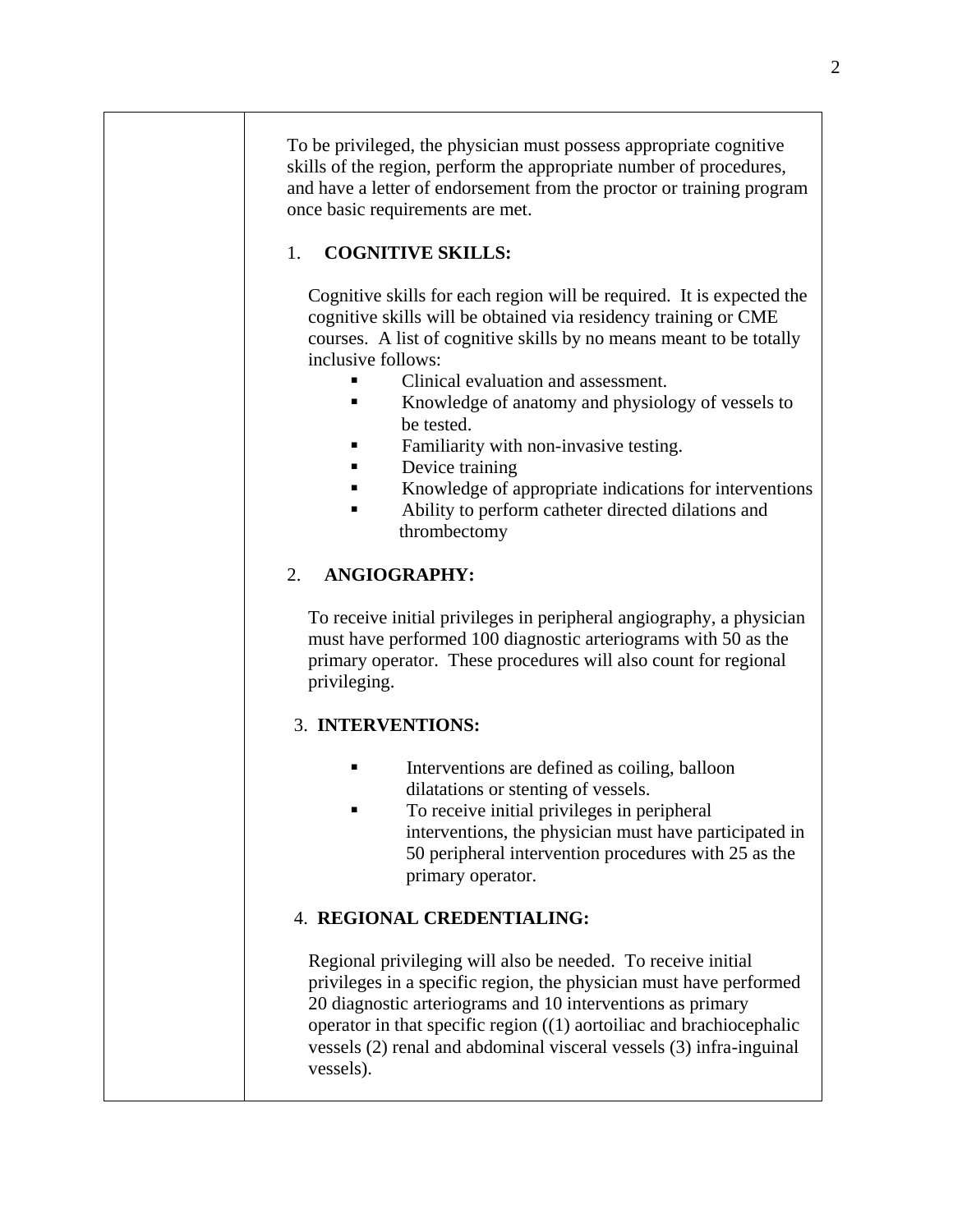To be privileged, the physician must possess appropriate cognitive skills of the region, perform the appropriate number of procedures, and have a letter of endorsement from the proctor or training program once basic requirements are met.

# 1. **COGNITIVE SKILLS:**

Cognitive skills for each region will be required. It is expected the cognitive skills will be obtained via residency training or CME courses. A list of cognitive skills by no means meant to be totally inclusive follows:

- Clinical evaluation and assessment.
- Knowledge of anatomy and physiology of vessels to be tested.
- Familiarity with non-invasive testing.
- Device training
- Knowledge of appropriate indications for interventions
- Ability to perform catheter directed dilations and thrombectomy

# 2. **ANGIOGRAPHY:**

To receive initial privileges in peripheral angiography, a physician must have performed 100 diagnostic arteriograms with 50 as the primary operator. These procedures will also count for regional privileging.

# 3. **INTERVENTIONS:**

- Interventions are defined as coiling, balloon dilatations or stenting of vessels.
- To receive initial privileges in peripheral interventions, the physician must have participated in 50 peripheral intervention procedures with 25 as the primary operator.

# 4. **REGIONAL CREDENTIALING:**

Regional privileging will also be needed. To receive initial privileges in a specific region, the physician must have performed 20 diagnostic arteriograms and 10 interventions as primary operator in that specific region ((1) aortoiliac and brachiocephalic vessels (2) renal and abdominal visceral vessels (3) infra-inguinal vessels).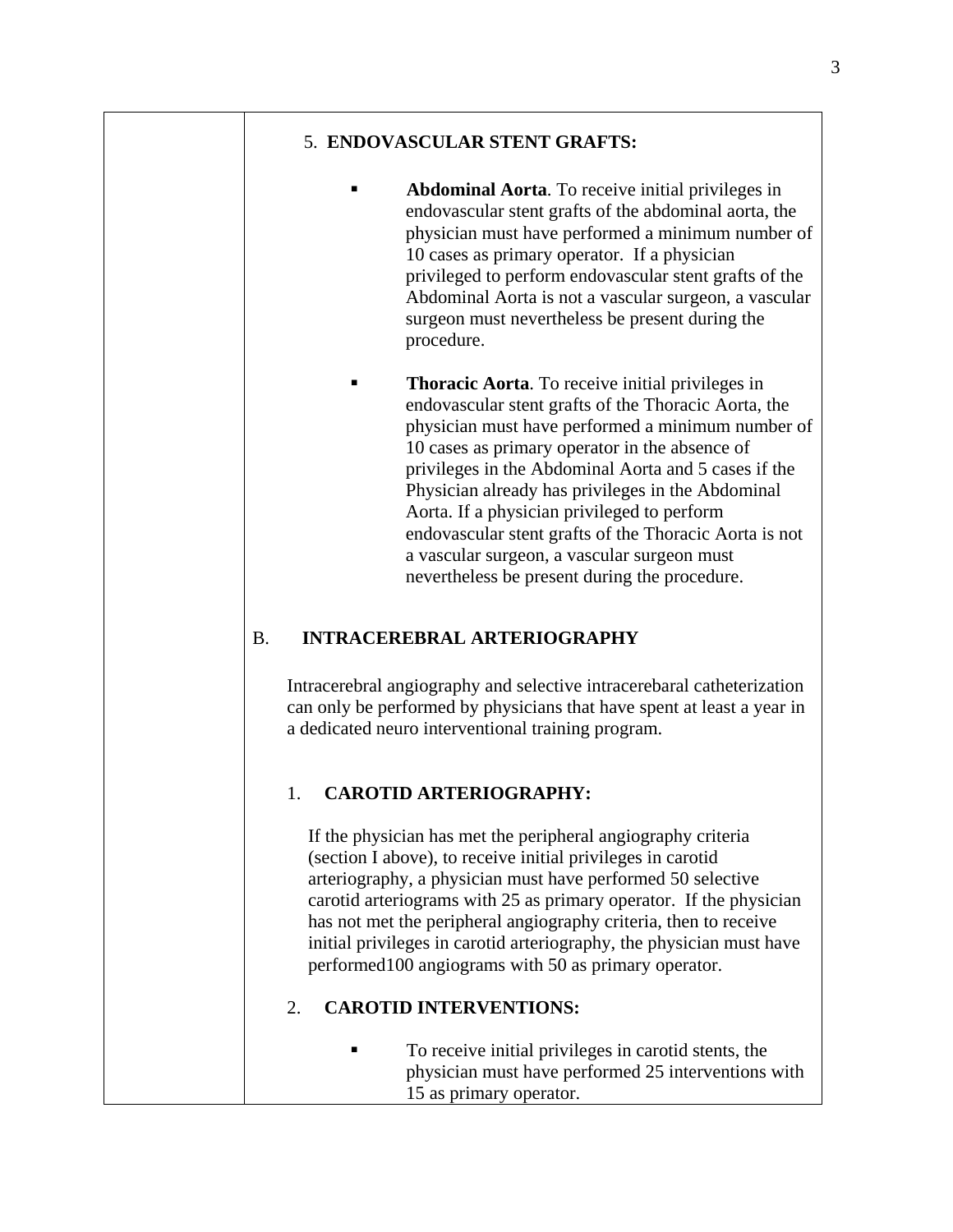#### 5. **ENDOVASCULAR STENT GRAFTS:**

- **Abdominal Aorta**. To receive initial privileges in endovascular stent grafts of the abdominal aorta, the physician must have performed a minimum number of 10 cases as primary operator. If a physician privileged to perform endovascular stent grafts of the Abdominal Aorta is not a vascular surgeon, a vascular surgeon must nevertheless be present during the procedure.
- **Thoracic Aorta**. To receive initial privileges in endovascular stent grafts of the Thoracic Aorta, the physician must have performed a minimum number of 10 cases as primary operator in the absence of privileges in the Abdominal Aorta and 5 cases if the Physician already has privileges in the Abdominal Aorta. If a physician privileged to perform endovascular stent grafts of the Thoracic Aorta is not a vascular surgeon, a vascular surgeon must nevertheless be present during the procedure.

# B. **INTRACEREBRAL ARTERIOGRAPHY**

Intracerebral angiography and selective intracerebaral catheterization can only be performed by physicians that have spent at least a year in a dedicated neuro interventional training program.

# 1. **CAROTID ARTERIOGRAPHY:**

If the physician has met the peripheral angiography criteria (section I above), to receive initial privileges in carotid arteriography, a physician must have performed 50 selective carotid arteriograms with 25 as primary operator. If the physician has not met the peripheral angiography criteria, then to receive initial privileges in carotid arteriography, the physician must have performed100 angiograms with 50 as primary operator.

#### 2. **CAROTID INTERVENTIONS:**

 To receive initial privileges in carotid stents, the physician must have performed 25 interventions with 15 as primary operator.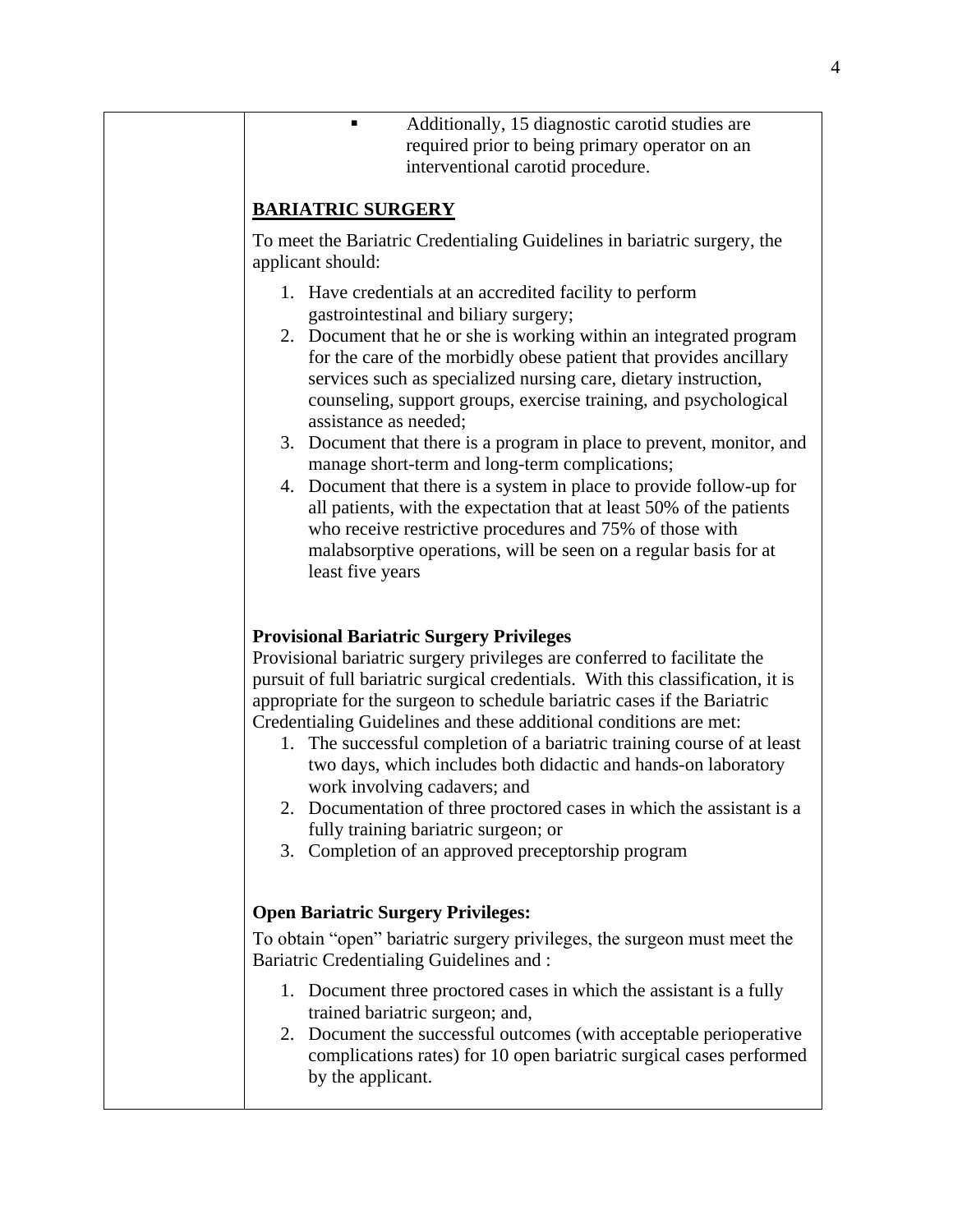■ Additionally, 15 diagnostic carotid studies are required prior to being primary operator on an interventional carotid procedure.

# **BARIATRIC SURGERY**

To meet the Bariatric Credentialing Guidelines in bariatric surgery, the applicant should:

- 1. Have credentials at an accredited facility to perform gastrointestinal and biliary surgery;
- 2. Document that he or she is working within an integrated program for the care of the morbidly obese patient that provides ancillary services such as specialized nursing care, dietary instruction, counseling, support groups, exercise training, and psychological assistance as needed;
- 3. Document that there is a program in place to prevent, monitor, and manage short-term and long-term complications;
- 4. Document that there is a system in place to provide follow-up for all patients, with the expectation that at least 50% of the patients who receive restrictive procedures and 75% of those with malabsorptive operations, will be seen on a regular basis for at least five years

# **Provisional Bariatric Surgery Privileges**

Provisional bariatric surgery privileges are conferred to facilitate the pursuit of full bariatric surgical credentials. With this classification, it is appropriate for the surgeon to schedule bariatric cases if the Bariatric Credentialing Guidelines and these additional conditions are met:

- 1. The successful completion of a bariatric training course of at least two days, which includes both didactic and hands-on laboratory work involving cadavers; and
- 2. Documentation of three proctored cases in which the assistant is a fully training bariatric surgeon; or
- 3. Completion of an approved preceptorship program

#### **Open Bariatric Surgery Privileges:**

To obtain "open" bariatric surgery privileges, the surgeon must meet the Bariatric Credentialing Guidelines and :

- 1. Document three proctored cases in which the assistant is a fully trained bariatric surgeon; and,
- 2. Document the successful outcomes (with acceptable perioperative complications rates) for 10 open bariatric surgical cases performed by the applicant.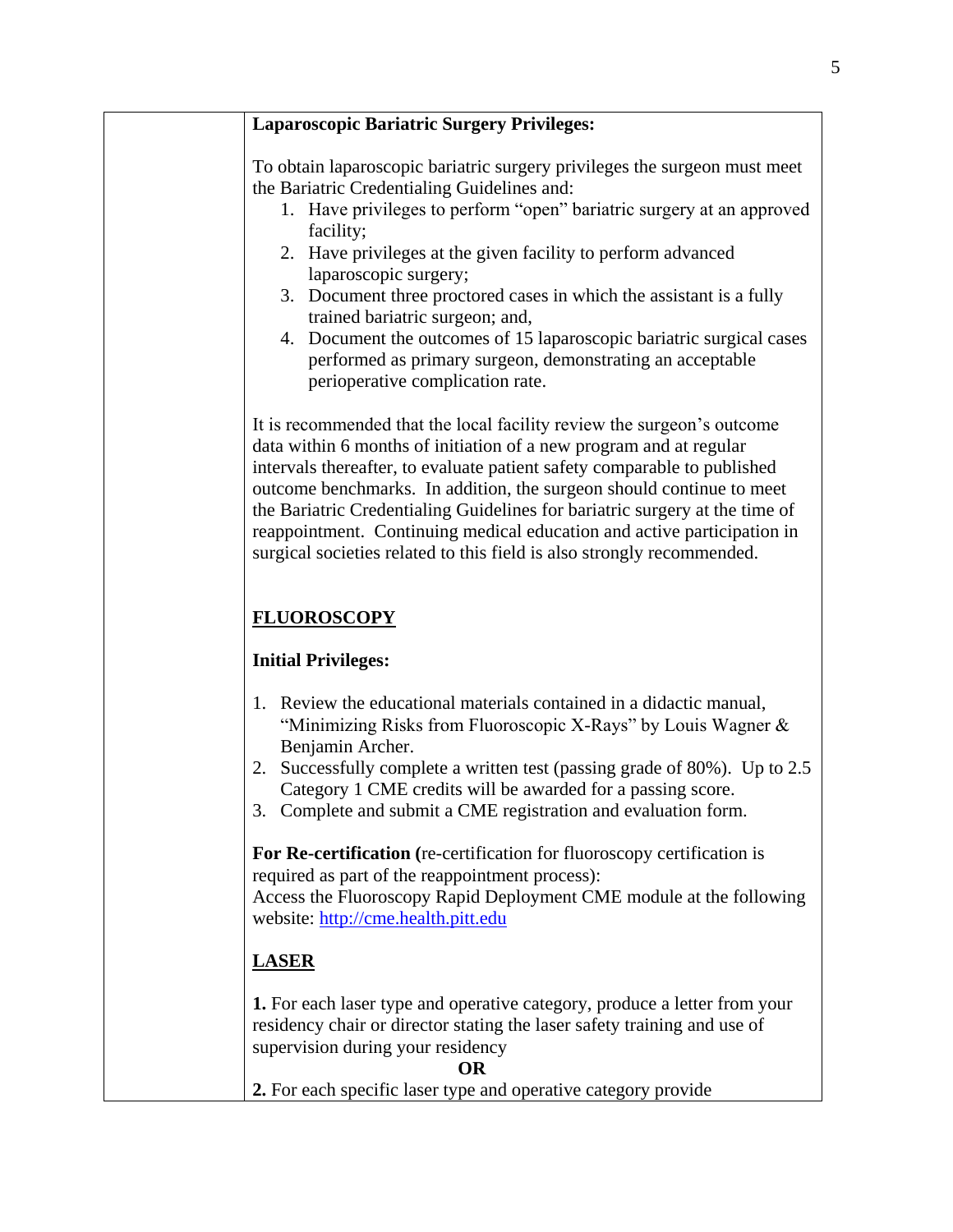| <b>Laparoscopic Bariatric Surgery Privileges:</b>                                                                                                                                                                                                                                                                                                                                                                                                                                                                                    |
|--------------------------------------------------------------------------------------------------------------------------------------------------------------------------------------------------------------------------------------------------------------------------------------------------------------------------------------------------------------------------------------------------------------------------------------------------------------------------------------------------------------------------------------|
| To obtain laparoscopic bariatric surgery privileges the surgeon must meet<br>the Bariatric Credentialing Guidelines and:                                                                                                                                                                                                                                                                                                                                                                                                             |
| 1. Have privileges to perform "open" bariatric surgery at an approved<br>facility;                                                                                                                                                                                                                                                                                                                                                                                                                                                   |
| 2. Have privileges at the given facility to perform advanced<br>laparoscopic surgery;                                                                                                                                                                                                                                                                                                                                                                                                                                                |
| 3. Document three proctored cases in which the assistant is a fully<br>trained bariatric surgeon; and,                                                                                                                                                                                                                                                                                                                                                                                                                               |
| 4. Document the outcomes of 15 laparoscopic bariatric surgical cases<br>performed as primary surgeon, demonstrating an acceptable<br>perioperative complication rate.                                                                                                                                                                                                                                                                                                                                                                |
| It is recommended that the local facility review the surgeon's outcome<br>data within 6 months of initiation of a new program and at regular<br>intervals thereafter, to evaluate patient safety comparable to published<br>outcome benchmarks. In addition, the surgeon should continue to meet<br>the Bariatric Credentialing Guidelines for bariatric surgery at the time of<br>reappointment. Continuing medical education and active participation in<br>surgical societies related to this field is also strongly recommended. |
| <b>FLUOROSCOPY</b>                                                                                                                                                                                                                                                                                                                                                                                                                                                                                                                   |
| <b>Initial Privileges:</b>                                                                                                                                                                                                                                                                                                                                                                                                                                                                                                           |
| 1. Review the educational materials contained in a didactic manual,<br>"Minimizing Risks from Fluoroscopic X-Rays" by Louis Wagner &<br>Benjamin Archer.                                                                                                                                                                                                                                                                                                                                                                             |
| Successfully complete a written test (passing grade of 80%). Up to 2.5<br>2.<br>Category 1 CME credits will be awarded for a passing score.<br>3. Complete and submit a CME registration and evaluation form.                                                                                                                                                                                                                                                                                                                        |
| For Re-certification (re-certification for fluoroscopy certification is<br>required as part of the reappointment process):                                                                                                                                                                                                                                                                                                                                                                                                           |
| Access the Fluoroscopy Rapid Deployment CME module at the following<br>website: http://cme.health.pitt.edu                                                                                                                                                                                                                                                                                                                                                                                                                           |
| <b>LASER</b>                                                                                                                                                                                                                                                                                                                                                                                                                                                                                                                         |
| 1. For each laser type and operative category, produce a letter from your<br>residency chair or director stating the laser safety training and use of<br>supervision during your residency                                                                                                                                                                                                                                                                                                                                           |
| <b>OR</b>                                                                                                                                                                                                                                                                                                                                                                                                                                                                                                                            |
| 2. For each specific laser type and operative category provide                                                                                                                                                                                                                                                                                                                                                                                                                                                                       |